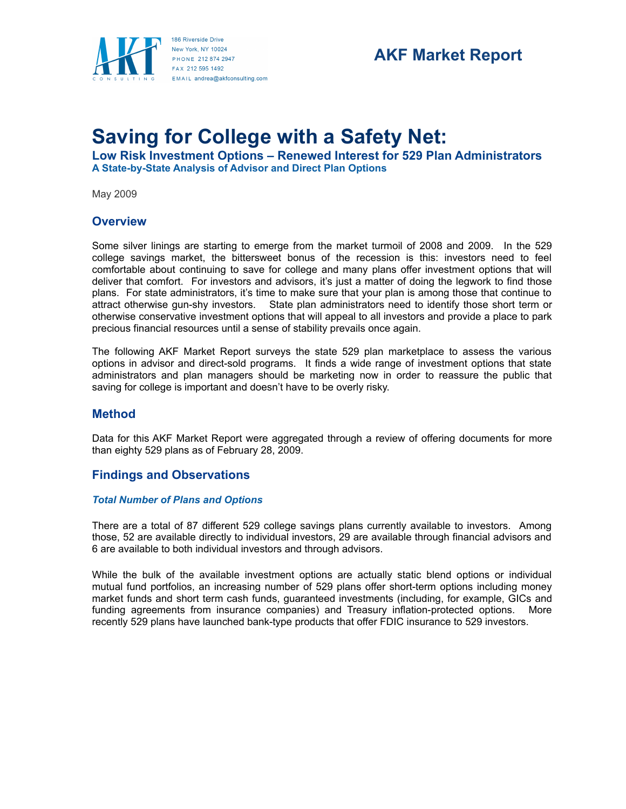

# **AKF Market Report**

# **Saving for College with a Safety Net:**

**Low Risk Investment Options – Renewed Interest for 529 Plan Administrators A State-by-State Analysis of Advisor and Direct Plan Options**

May 2009

## **Overview**

Some silver linings are starting to emerge from the market turmoil of 2008 and 2009. In the 529 college savings market, the bittersweet bonus of the recession is this: investors need to feel comfortable about continuing to save for college and many plans offer investment options that will deliver that comfort. For investors and advisors, it's just a matter of doing the legwork to find those plans. For state administrators, it's time to make sure that your plan is among those that continue to attract otherwise gun-shy investors. State plan administrators need to identify those short term or otherwise conservative investment options that will appeal to all investors and provide a place to park precious financial resources until a sense of stability prevails once again.

The following AKF Market Report surveys the state 529 plan marketplace to assess the various options in advisor and direct-sold programs. It finds a wide range of investment options that state administrators and plan managers should be marketing now in order to reassure the public that saving for college is important and doesn't have to be overly risky.

# **Method**

Data for this AKF Market Report were aggregated through a review of offering documents for more than eighty 529 plans as of February 28, 2009.

# **Findings and Observations**

#### *Total Number of Plans and Options*

There are a total of 87 different 529 college savings plans currently available to investors. Among those, 52 are available directly to individual investors, 29 are available through financial advisors and 6 are available to both individual investors and through advisors.

While the bulk of the available investment options are actually static blend options or individual mutual fund portfolios, an increasing number of 529 plans offer short-term options including money market funds and short term cash funds, guaranteed investments (including, for example, GICs and funding agreements from insurance companies) and Treasury inflation-protected options. More recently 529 plans have launched bank-type products that offer FDIC insurance to 529 investors.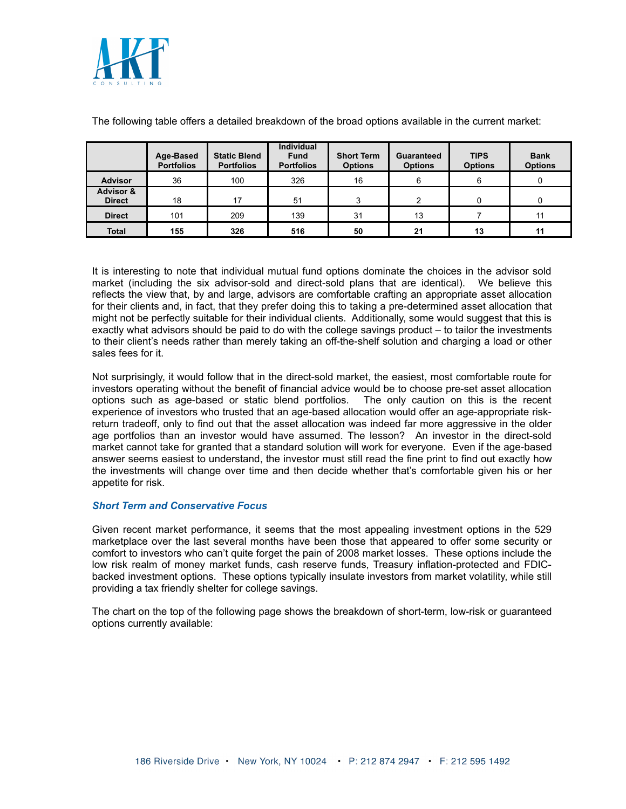

|                                       | Age-Based<br><b>Portfolios</b> | <b>Static Blend</b><br><b>Portfolios</b> | <b>Individual</b><br><b>Fund</b><br><b>Portfolios</b> | <b>Short Term</b><br><b>Options</b> | <b>Guaranteed</b><br><b>Options</b> | <b>TIPS</b><br><b>Options</b> | <b>Bank</b><br><b>Options</b> |
|---------------------------------------|--------------------------------|------------------------------------------|-------------------------------------------------------|-------------------------------------|-------------------------------------|-------------------------------|-------------------------------|
| <b>Advisor</b>                        | 36                             | 100                                      | 326                                                   | 16                                  | 6                                   | 6                             |                               |
| <b>Advisor &amp;</b><br><b>Direct</b> | 18                             | 17                                       | 51                                                    | 3                                   | ົ                                   | 0                             |                               |
| <b>Direct</b>                         | 101                            | 209                                      | 139                                                   | 31                                  | 13                                  |                               | 11                            |
| <b>Total</b>                          | 155                            | 326                                      | 516                                                   | 50                                  | 21                                  | 13                            | 11                            |

The following table offers a detailed breakdown of the broad options available in the current market:

It is interesting to note that individual mutual fund options dominate the choices in the advisor sold market (including the six advisor-sold and direct-sold plans that are identical). We believe this reflects the view that, by and large, advisors are comfortable crafting an appropriate asset allocation for their clients and, in fact, that they prefer doing this to taking a pre-determined asset allocation that might not be perfectly suitable for their individual clients. Additionally, some would suggest that this is exactly what advisors should be paid to do with the college savings product – to tailor the investments to their client's needs rather than merely taking an off-the-shelf solution and charging a load or other sales fees for it.

Not surprisingly, it would follow that in the direct-sold market, the easiest, most comfortable route for investors operating without the benefit of financial advice would be to choose pre-set asset allocation options such as age-based or static blend portfolios. The only caution on this is the recent experience of investors who trusted that an age-based allocation would offer an age-appropriate riskreturn tradeoff, only to find out that the asset allocation was indeed far more aggressive in the older age portfolios than an investor would have assumed. The lesson? An investor in the direct-sold market cannot take for granted that a standard solution will work for everyone. Even if the age-based answer seems easiest to understand, the investor must still read the fine print to find out exactly how the investments will change over time and then decide whether that's comfortable given his or her appetite for risk.

#### *Short Term and Conservative Focus*

Given recent market performance, it seems that the most appealing investment options in the 529 marketplace over the last several months have been those that appeared to offer some security or comfort to investors who can't quite forget the pain of 2008 market losses. These options include the low risk realm of money market funds, cash reserve funds, Treasury inflation-protected and FDICbacked investment options. These options typically insulate investors from market volatility, while still providing a tax friendly shelter for college savings.

The chart on the top of the following page shows the breakdown of short-term, low-risk or guaranteed options currently available: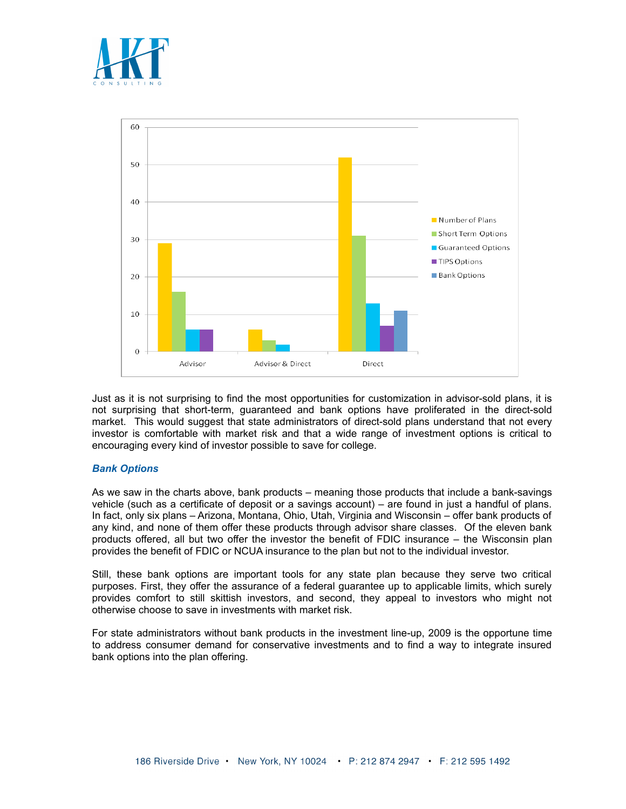



Just as it is not surprising to find the most opportunities for customization in advisor-sold plans, it is not surprising that short-term, guaranteed and bank options have proliferated in the direct-sold market. This would suggest that state administrators of direct-sold plans understand that not every investor is comfortable with market risk and that a wide range of investment options is critical to encouraging every kind of investor possible to save for college.

#### *Bank Options*

As we saw in the charts above, bank products – meaning those products that include a bank-savings vehicle (such as a certificate of deposit or a savings account) – are found in just a handful of plans. In fact, only six plans – Arizona, Montana, Ohio, Utah, Virginia and Wisconsin – offer bank products of any kind, and none of them offer these products through advisor share classes. Of the eleven bank products offered, all but two offer the investor the benefit of FDIC insurance – the Wisconsin plan provides the benefit of FDIC or NCUA insurance to the plan but not to the individual investor.

Still, these bank options are important tools for any state plan because they serve two critical purposes. First, they offer the assurance of a federal guarantee up to applicable limits, which surely provides comfort to still skittish investors, and second, they appeal to investors who might not otherwise choose to save in investments with market risk.

For state administrators without bank products in the investment line-up, 2009 is the opportune time to address consumer demand for conservative investments and to find a way to integrate insured bank options into the plan offering.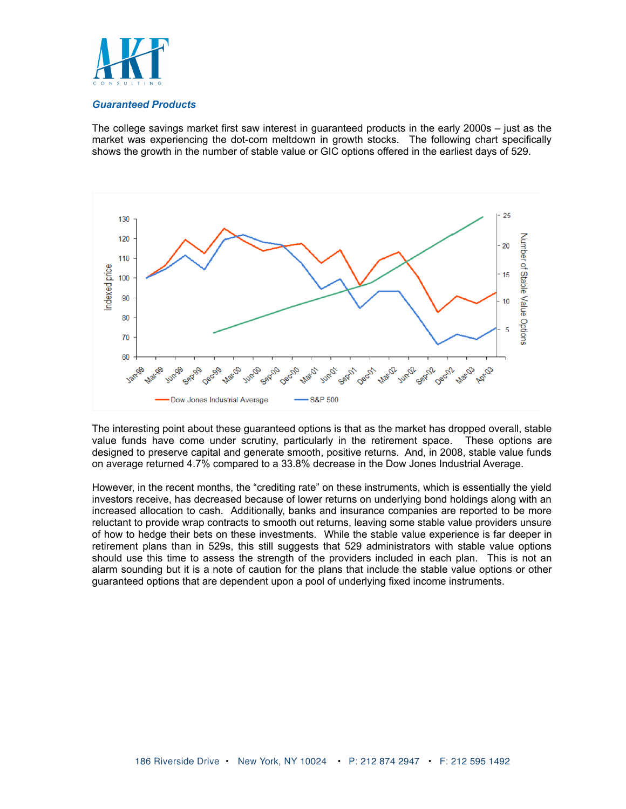

#### *Guaranteed Products*

The college savings market first saw interest in guaranteed products in the early 2000s – just as the market was experiencing the dot-com meltdown in growth stocks. The following chart specifically shows the growth in the number of stable value or GIC options offered in the earliest days of 529.



The interesting point about these guaranteed options is that as the market has dropped overall, stable value funds have come under scrutiny, particularly in the retirement space. These options are designed to preserve capital and generate smooth, positive returns. And, in 2008, stable value funds on average returned 4.7% compared to a 33.8% decrease in the Dow Jones Industrial Average.

However, in the recent months, the "crediting rate" on these instruments, which is essentially the yield investors receive, has decreased because of lower returns on underlying bond holdings along with an increased allocation to cash. Additionally, banks and insurance companies are reported to be more reluctant to provide wrap contracts to smooth out returns, leaving some stable value providers unsure of how to hedge their bets on these investments. While the stable value experience is far deeper in retirement plans than in 529s, this still suggests that 529 administrators with stable value options should use this time to assess the strength of the providers included in each plan. This is not an alarm sounding but it is a note of caution for the plans that include the stable value options or other guaranteed options that are dependent upon a pool of underlying fixed income instruments.